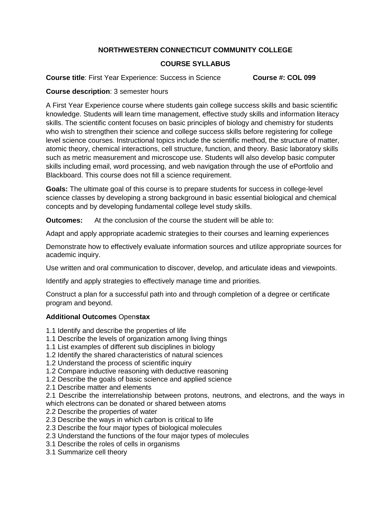# **NORTHWESTERN CONNECTICUT COMMUNITY COLLEGE**

# **COURSE SYLLABUS**

**Course title**: First Year Experience: Success in Science **Course #: COL 099** 

## **Course description**: 3 semester hours

A First Year Experience course where students gain college success skills and basic scientific knowledge. Students will learn time management, effective study skills and information literacy skills. The scientific content focuses on basic principles of biology and chemistry for students who wish to strengthen their science and college success skills before registering for college level science courses. Instructional topics include the scientific method, the structure of matter, atomic theory, chemical interactions, cell structure, function, and theory. Basic laboratory skills such as metric measurement and microscope use. Students will also develop basic computer skills including email, word processing, and web navigation through the use of ePortfolio and Blackboard. This course does not fill a science requirement.

**Goals:** The ultimate goal of this course is to prepare students for success in college-level science classes by developing a strong background in basic essential biological and chemical concepts and by developing fundamental college level study skills.

**Outcomes:** At the conclusion of the course the student will be able to:

Adapt and apply appropriate academic strategies to their courses and learning experiences

Demonstrate how to effectively evaluate information sources and utilize appropriate sources for academic inquiry.

Use written and oral communication to discover, develop, and articulate ideas and viewpoints.

Identify and apply strategies to effectively manage time and priorities.

Construct a plan for a successful path into and through completion of a degree or certificate program and beyond.

### **Additional Outcomes** Open**stax**

- 1.1 Identify and describe the properties of life
- 1.1 Describe the levels of organization among living things
- 1.1 List examples of different sub disciplines in biology
- 1.2 Identify the shared characteristics of natural sciences
- 1.2 Understand the process of scientific inquiry
- 1.2 Compare inductive reasoning with deductive reasoning
- 1.2 Describe the goals of basic science and applied science
- 2.1 Describe matter and elements

2.1 Describe the interrelationship between protons, neutrons, and electrons, and the ways in which electrons can be donated or shared between atoms

- 2.2 Describe the properties of water
- 2.3 Describe the ways in which carbon is critical to life
- 2.3 Describe the four major types of biological molecules
- 2.3 Understand the functions of the four major types of molecules
- 3.1 Describe the roles of cells in organisms
- 3.1 Summarize cell theory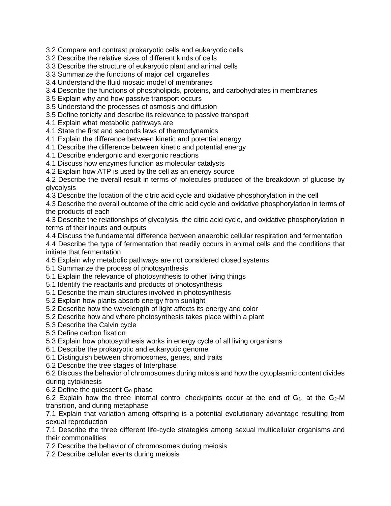3.2 Compare and contrast prokaryotic cells and eukaryotic cells

3.2 Describe the relative sizes of different kinds of cells

3.3 Describe the structure of eukaryotic plant and animal cells

3.3 Summarize the functions of major cell organelles

3.4 Understand the fluid mosaic model of membranes

3.4 Describe the functions of phospholipids, proteins, and carbohydrates in membranes

3.5 Explain why and how passive transport occurs

3.5 Understand the processes of osmosis and diffusion

3.5 Define tonicity and describe its relevance to passive transport

4.1 Explain what metabolic pathways are

4.1 State the first and seconds laws of thermodynamics

4.1 Explain the difference between kinetic and potential energy

4.1 Describe the difference between kinetic and potential energy

4.1 Describe endergonic and exergonic reactions

4.1 Discuss how enzymes function as molecular catalysts

4.2 Explain how ATP is used by the cell as an energy source

4.2 Describe the overall result in terms of molecules produced of the breakdown of glucose by glycolysis

4.3 Describe the location of the citric acid cycle and oxidative phosphorylation in the cell

4.3 Describe the overall outcome of the citric acid cycle and oxidative phosphorylation in terms of the products of each

4.3 Describe the relationships of glycolysis, the citric acid cycle, and oxidative phosphorylation in terms of their inputs and outputs

4.4 Discuss the fundamental difference between anaerobic cellular respiration and fermentation

4.4 Describe the type of fermentation that readily occurs in animal cells and the conditions that initiate that fermentation

4.5 Explain why metabolic pathways are not considered closed systems

5.1 Summarize the process of photosynthesis

5.1 Explain the relevance of photosynthesis to other living things

5.1 Identify the reactants and products of photosynthesis

5.1 Describe the main structures involved in photosynthesis

5.2 Explain how plants absorb energy from sunlight

5.2 Describe how the wavelength of light affects its energy and color

5.2 Describe how and where photosynthesis takes place within a plant

5.3 Describe the Calvin cycle

5.3 Define carbon fixation

5.3 Explain how photosynthesis works in energy cycle of all living organisms

6.1 Describe the prokaryotic and eukaryotic genome

6.1 Distinguish between chromosomes, genes, and traits

6.2 Describe the tree stages of Interphase

6.2 Discuss the behavior of chromosomes during mitosis and how the cytoplasmic content divides during cytokinesis

6.2 Define the quiescent  $G_0$  phase

6.2 Explain how the three internal control checkpoints occur at the end of  $G_1$ , at the  $G_2$ -M transition, and during metaphase

7.1 Explain that variation among offspring is a potential evolutionary advantage resulting from sexual reproduction

7.1 Describe the three different life-cycle strategies among sexual multicellular organisms and their commonalities

7.2 Describe the behavior of chromosomes during meiosis

7.2 Describe cellular events during meiosis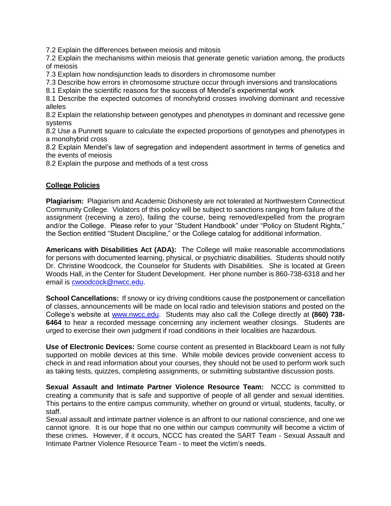7.2 Explain the differences between meiosis and mitosis

7.2 Explain the mechanisms within meiosis that generate genetic variation among, the products of meiosis

7.3 Explain how nondisjunction leads to disorders in chromosome number

7.3 Describe how errors in chromosome structure occur through inversions and translocations

8.1 Explain the scientific reasons for the success of Mendel's experimental work

8.1 Describe the expected outcomes of monohybrid crosses involving dominant and recessive alleles

8.2 Explain the relationship between genotypes and phenotypes in dominant and recessive gene systems

8.2 Use a Punnett square to calculate the expected proportions of genotypes and phenotypes in a monohybrid cross

8.2 Explain Mendel's law of segregation and independent assortment in terms of genetics and the events of meiosis

8.2 Explain the purpose and methods of a test cross

### **College Policies**

**Plagiarism:** Plagiarism and Academic Dishonesty are not tolerated at Northwestern Connecticut Community College. Violators of this policy will be subject to sanctions ranging from failure of the assignment (receiving a zero), failing the course, being removed/expelled from the program and/or the College. Please refer to your "Student Handbook" under "Policy on Student Rights," the Section entitled "Student Discipline," or the College catalog for additional information.

**Americans with Disabilities Act (ADA):** The College will make reasonable accommodations for persons with documented learning, physical, or psychiatric disabilities. Students should notify Dr. Christine Woodcock, the Counselor for Students with Disabilities. She is located at Green Woods Hall, in the Center for Student Development. Her phone number is 860-738-6318 and her email is [cwoodcock@nwcc.edu.](mailto:cwoodcock@nwcc.edu)

**School Cancellations:** If snowy or icy driving conditions cause the postponement or cancellation of classes, announcements will be made on local radio and television stations and posted on the College's website at [www.nwcc.edu.](http://www.nwcc.edu/) Students may also call the College directly at **(860) 738- 6464** to hear a recorded message concerning any inclement weather closings. Students are urged to exercise their own judgment if road conditions in their localities are hazardous.

**Use of Electronic Devices:** Some course content as presented in Blackboard Learn is not fully supported on mobile devices at this time. While mobile devices provide convenient access to check in and read information about your courses, they should not be used to perform work such as taking tests, quizzes, completing assignments, or submitting substantive discussion posts.

**Sexual Assault and Intimate Partner Violence Resource Team:** NCCC is committed to creating a community that is safe and supportive of people of all gender and sexual identities. This pertains to the entire campus community, whether on ground or virtual, students, faculty, or staff.

Sexual assault and intimate partner violence is an affront to our national conscience, and one we cannot ignore. It is our hope that no one within our campus community will become a victim of these crimes. However, if it occurs, NCCC has created the SART Team - Sexual Assault and Intimate Partner Violence Resource Team - to meet the victim's needs.